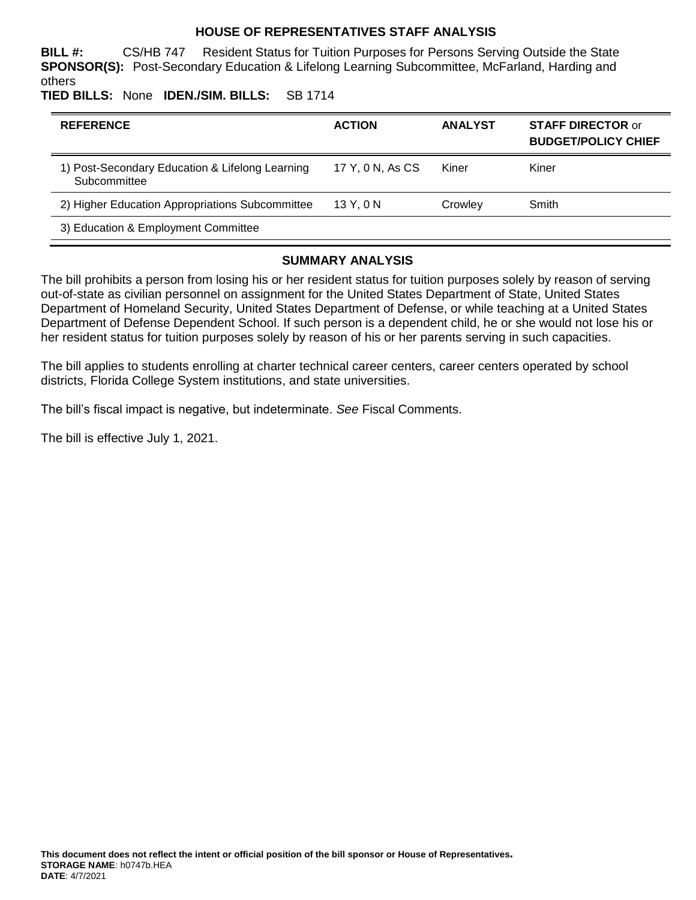## **HOUSE OF REPRESENTATIVES STAFF ANALYSIS**

**BILL #:** CS/HB 747 Resident Status for Tuition Purposes for Persons Serving Outside the State **SPONSOR(S):** Post-Secondary Education & Lifelong Learning Subcommittee, McFarland, Harding and others

**TIED BILLS:** None **IDEN./SIM. BILLS:** SB 1714

| <b>REFERENCE</b>                                                | <b>ACTION</b>    | <b>ANALYST</b> | <b>STAFF DIRECTOR or</b><br><b>BUDGET/POLICY CHIEF</b> |
|-----------------------------------------------------------------|------------------|----------------|--------------------------------------------------------|
| 1) Post-Secondary Education & Lifelong Learning<br>Subcommittee | 17 Y, 0 N, As CS | Kiner          | Kiner                                                  |
| 2) Higher Education Appropriations Subcommittee                 | 13 Y.ON          | Crowley        | Smith                                                  |
| 3) Education & Employment Committee                             |                  |                |                                                        |

### **SUMMARY ANALYSIS**

The bill prohibits a person from losing his or her resident status for tuition purposes solely by reason of serving out-of-state as civilian personnel on assignment for the United States Department of State, United States Department of Homeland Security, United States Department of Defense, or while teaching at a United States Department of Defense Dependent School. If such person is a dependent child, he or she would not lose his or her resident status for tuition purposes solely by reason of his or her parents serving in such capacities.

The bill applies to students enrolling at charter technical career centers, career centers operated by school districts, Florida College System institutions, and state universities.

The bill's fiscal impact is negative, but indeterminate. *See* Fiscal Comments.

The bill is effective July 1, 2021.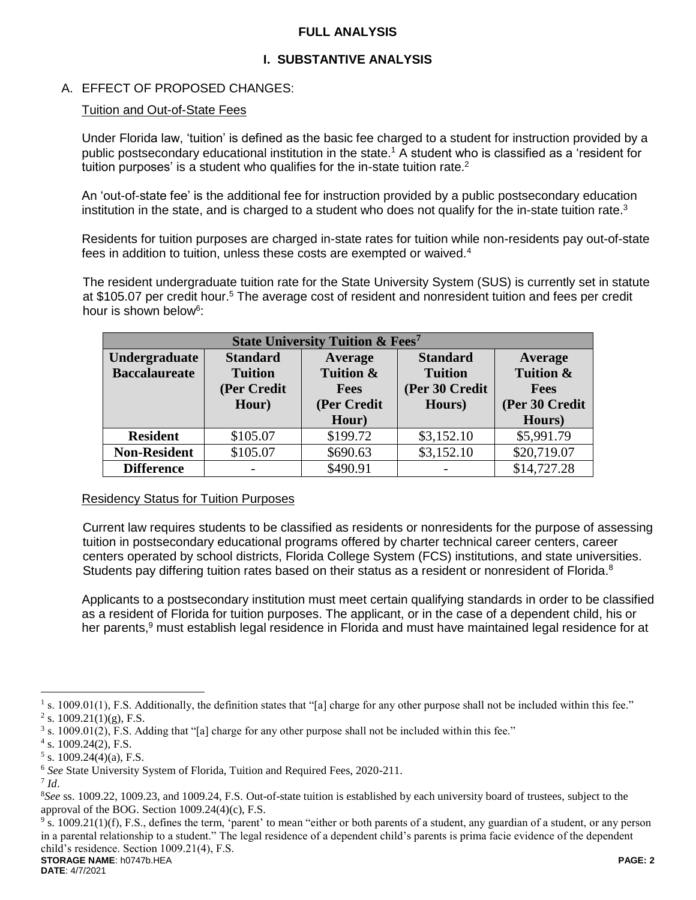## **FULL ANALYSIS**

# **I. SUBSTANTIVE ANALYSIS**

# A. EFFECT OF PROPOSED CHANGES:

### Tuition and Out-of-State Fees

Under Florida law, 'tuition' is defined as the basic fee charged to a student for instruction provided by a public postsecondary educational institution in the state.<sup>1</sup> A student who is classified as a 'resident for tuition purposes' is a student who qualifies for the in-state tuition rate. $2$ 

An 'out-of-state fee' is the additional fee for instruction provided by a public postsecondary education institution in the state, and is charged to a student who does not qualify for the in-state tuition rate.<sup>3</sup>

Residents for tuition purposes are charged in-state rates for tuition while non-residents pay out-of-state fees in addition to tuition, unless these costs are exempted or waived.<sup>4</sup>

The resident undergraduate tuition rate for the State University System (SUS) is currently set in statute at \$105.07 per credit hour.<sup>5</sup> The average cost of resident and nonresident tuition and fees per credit hour is shown below<sup>6</sup>:

| <b>State University Tuition &amp; Fees<sup>7</sup></b> |                 |             |                 |                |  |  |
|--------------------------------------------------------|-----------------|-------------|-----------------|----------------|--|--|
| Undergraduate                                          | <b>Standard</b> | Average     | <b>Standard</b> | <b>Average</b> |  |  |
| <b>Baccalaureate</b>                                   | <b>Tuition</b>  | Tuition &   | <b>Tuition</b>  | Tuition &      |  |  |
|                                                        | (Per Credit     | <b>Fees</b> | (Per 30 Credit  | <b>Fees</b>    |  |  |
|                                                        | Hour)           | (Per Credit | Hours)          | (Per 30 Credit |  |  |
|                                                        |                 | Hour)       |                 | Hours)         |  |  |
| <b>Resident</b>                                        | \$105.07        | \$199.72    | \$3,152.10      | \$5,991.79     |  |  |
| <b>Non-Resident</b>                                    | \$105.07        | \$690.63    | \$3,152.10      | \$20,719.07    |  |  |
| <b>Difference</b>                                      |                 | \$490.91    |                 | \$14,727.28    |  |  |

#### Residency Status for Tuition Purposes

Current law requires students to be classified as residents or nonresidents for the purpose of assessing tuition in postsecondary educational programs offered by charter technical career centers, career centers operated by school districts, Florida College System (FCS) institutions, and state universities. Students pay differing tuition rates based on their status as a resident or nonresident of Florida.<sup>8</sup>

Applicants to a postsecondary institution must meet certain qualifying standards in order to be classified as a resident of Florida for tuition purposes. The applicant, or in the case of a dependent child, his or her parents,<sup>9</sup> must establish legal residence in Florida and must have maintained legal residence for at

 $\overline{a}$ 

**STORAGE NAME**: h0747b.HEA **PAGE: 2**  $9$  s. 1009.21(1)(f), F.S., defines the term, 'parent' to mean "either or both parents of a student, any guardian of a student, or any person in a parental relationship to a student." The legal residence of a dependent child's parents is prima facie evidence of the dependent child's residence. Section 1009.21(4), F.S.

<sup>&</sup>lt;sup>1</sup> s. 1009.01(1), F.S. Additionally, the definition states that "[a] charge for any other purpose shall not be included within this fee." <sup>2</sup> s. 1009.21(1)(g), F.S.

<sup>&</sup>lt;sup>3</sup> s. 1009.01(2), F.S. Adding that "[a] charge for any other purpose shall not be included within this fee."

<sup>4</sup> s. 1009.24(2), F.S.

 $5$  s. 1009.24(4)(a), F.S.

<sup>6</sup> *See* State University System of Florida, Tuition and Required Fees, 2020-211.

<sup>7</sup> *Id*.

<sup>8</sup>*See* ss. 1009.22, 1009.23, and 1009.24, F.S. Out-of-state tuition is established by each university board of trustees, subject to the approval of the BOG. Section 1009.24(4)(c), F.S.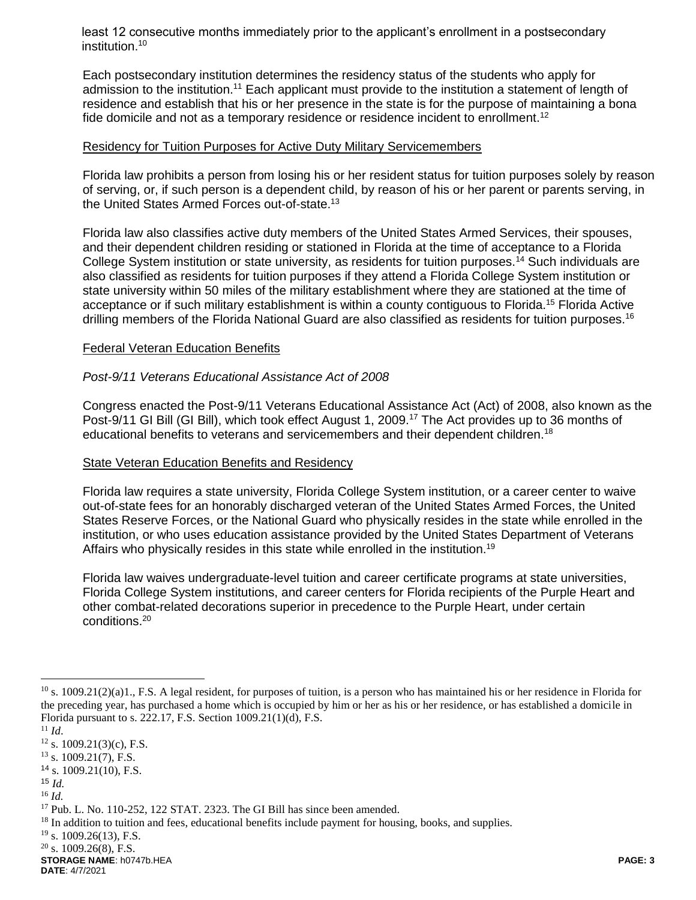least 12 consecutive months immediately prior to the applicant's enrollment in a postsecondary institution.<sup>10</sup>

Each postsecondary institution determines the residency status of the students who apply for admission to the institution.<sup>11</sup> Each applicant must provide to the institution a statement of length of residence and establish that his or her presence in the state is for the purpose of maintaining a bona fide domicile and not as a temporary residence or residence incident to enrollment.<sup>12</sup>

### Residency for Tuition Purposes for Active Duty Military Servicemembers

Florida law prohibits a person from losing his or her resident status for tuition purposes solely by reason of serving, or, if such person is a dependent child, by reason of his or her parent or parents serving, in the United States Armed Forces out-of-state.<sup>13</sup>

Florida law also classifies active duty members of the United States Armed Services, their spouses, and their dependent children residing or stationed in Florida at the time of acceptance to a Florida College System institution or state university, as residents for tuition purposes.<sup>14</sup> Such individuals are also classified as residents for tuition purposes if they attend a Florida College System institution or state university within 50 miles of the military establishment where they are stationed at the time of acceptance or if such military establishment is within a county contiguous to Florida.<sup>15</sup> Florida Active drilling members of the Florida National Guard are also classified as residents for tuition purposes.<sup>16</sup>

#### Federal Veteran Education Benefits

### *Post-9/11 Veterans Educational Assistance Act of 2008*

Congress enacted the Post-9/11 Veterans Educational Assistance Act (Act) of 2008, also known as the Post-9/11 GI Bill (GI Bill), which took effect August 1, 2009.<sup>17</sup> The Act provides up to 36 months of educational benefits to veterans and servicemembers and their dependent children.<sup>18</sup>

# State Veteran Education Benefits and Residency

Florida law requires a state university, Florida College System institution, or a career center to waive out-of-state fees for an honorably discharged veteran of the United States Armed Forces, the United States Reserve Forces, or the National Guard who physically resides in the state while enrolled in the institution, or who uses education assistance provided by the United States Department of Veterans Affairs who physically resides in this state while enrolled in the institution.<sup>19</sup>

Florida law waives undergraduate-level tuition and career certificate programs at state universities, Florida College System institutions, and career centers for Florida recipients of the Purple Heart and other combat-related decorations superior in precedence to the Purple Heart, under certain conditions.<sup>20</sup>

 $\overline{a}$ 

 $^{10}$  s. 1009.21(2)(a)1., F.S. A legal resident, for purposes of tuition, is a person who has maintained his or her residence in Florida for the preceding year, has purchased a home which is occupied by him or her as his or her residence, or has established a domicile in Florida pursuant to s. 222.17, F.S. Section 1009.21(1)(d), F.S.

<sup>11</sup> *Id*.

 $12$  s. 1009.21(3)(c), F.S.

 $13$  s. 1009.21(7), F.S.

 $14$  s. 1009.21(10), F.S.

<sup>15</sup> *Id.*

<sup>16</sup> *Id.*

<sup>&</sup>lt;sup>17</sup> Pub. L. No. 110-252, 122 STAT. 2323. The GI Bill has since been amended.

<sup>&</sup>lt;sup>18</sup> In addition to tuition and fees, educational benefits include payment for housing, books, and supplies.

<sup>&</sup>lt;sup>19</sup> s. 1009.26(13), F.S.

 $20$  s. 1009.26(8), F.S.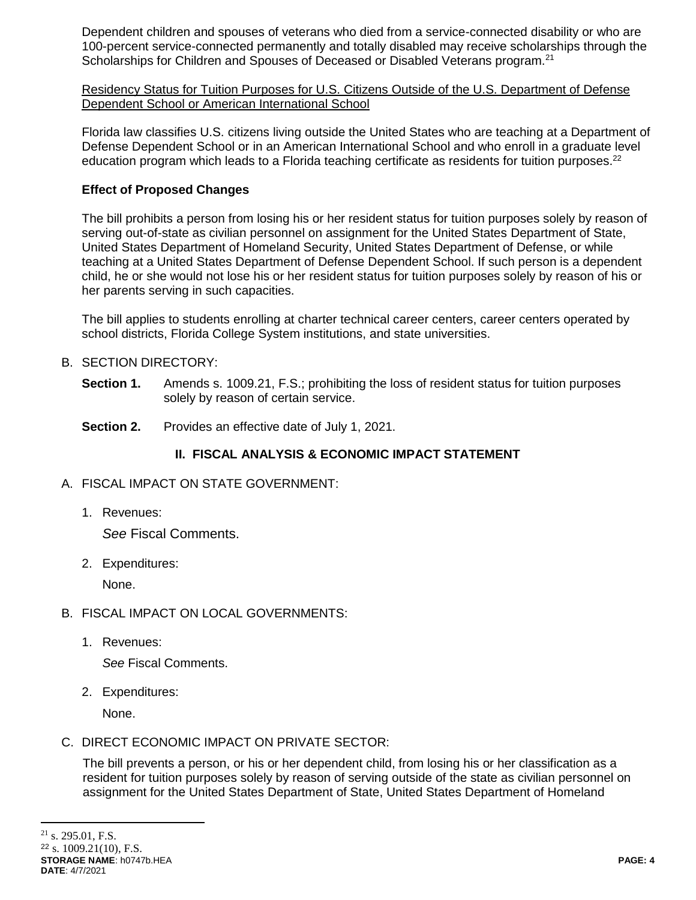Dependent children and spouses of veterans who died from a service-connected disability or who are 100-percent service-connected permanently and totally disabled may receive scholarships through the Scholarships for Children and Spouses of Deceased or Disabled Veterans program.<sup>21</sup>

Residency Status for Tuition Purposes for U.S. Citizens Outside of the U.S. Department of Defense Dependent School or American International School

Florida law classifies U.S. citizens living outside the United States who are teaching at a Department of Defense Dependent School or in an American International School and who enroll in a graduate level education program which leads to a Florida teaching certificate as residents for tuition purposes.<sup>22</sup>

# **Effect of Proposed Changes**

The bill prohibits a person from losing his or her resident status for tuition purposes solely by reason of serving out-of-state as civilian personnel on assignment for the United States Department of State, United States Department of Homeland Security, United States Department of Defense, or while teaching at a United States Department of Defense Dependent School. If such person is a dependent child, he or she would not lose his or her resident status for tuition purposes solely by reason of his or her parents serving in such capacities.

The bill applies to students enrolling at charter technical career centers, career centers operated by school districts, Florida College System institutions, and state universities.

# B. SECTION DIRECTORY:

- **Section 1.** Amends s. 1009.21, F.S.; prohibiting the loss of resident status for tuition purposes solely by reason of certain service.
- **Section 2.** Provides an effective date of July 1, 2021.

# **II. FISCAL ANALYSIS & ECONOMIC IMPACT STATEMENT**

- A. FISCAL IMPACT ON STATE GOVERNMENT:
	- 1. Revenues:

*See* Fiscal Comments.

2. Expenditures:

None.

- B. FISCAL IMPACT ON LOCAL GOVERNMENTS:
	- 1. Revenues:

*See* Fiscal Comments.

2. Expenditures:

None.

C. DIRECT ECONOMIC IMPACT ON PRIVATE SECTOR:

The bill prevents a person, or his or her dependent child, from losing his or her classification as a resident for tuition purposes solely by reason of serving outside of the state as civilian personnel on assignment for the United States Department of State, United States Department of Homeland

 $\overline{a}$